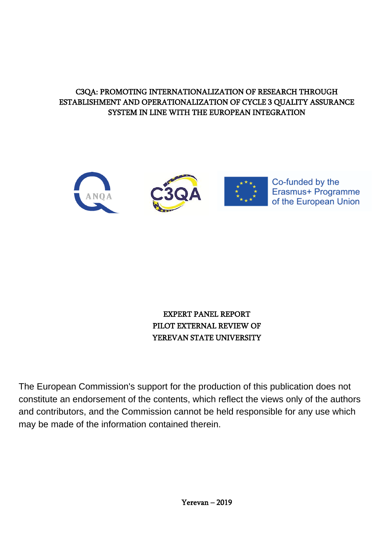## C3QA: PROMOTING INTERNATIONALIZATION OF RESEARCH THROUGH ESTABLISHMENT AND OPERATIONALIZATION OF CYCLE 3 QUALITY ASSURANCE SYSTEM IN LINE WITH THE EUROPEAN INTEGRATION



## EXPERT PANEL REPORT PILOT EXTERNAL REVIEW OF YEREVAN STATE UNIVERSITY

The European Commission's support for the production of this publication does not constitute an endorsement of the contents, which reflect the views only of the authors and contributors, and the Commission cannot be held responsible for any use which may be made of the information contained therein.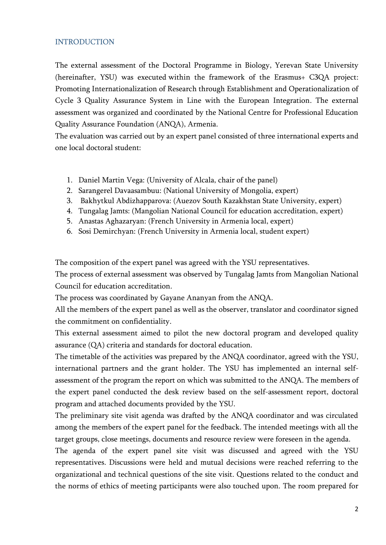## <span id="page-1-0"></span>**INTRODUCTION**

The external assessment of the Doctoral Programme in Biology, Yerevan State University (hereinafter, YSU) was executed within the framework of the Erasmus+ C3QA project: Promoting Internationalization of Research through Establishment and Operationalization of Cycle 3 Quality Assurance System in Line with the European Integration. The external assessment was organized and coordinated by the National Centre for Professional Education Quality Assurance Foundation (ANQA), Armenia.

The evaluation was carried out by an expert panel consisted of three international experts and one local doctoral student:

- 1. Daniel Martin Vega: (University of Alcala, chair of the panel)
- 2. Sarangerel Davaasambuu: (National University of Mongolia, expert)
- 3. Bakhytkul Abdizhapparova: (Auezov South Kazakhstan State University, expert)
- 4. Tungalag Jamts: (Mangolian National Council for education accreditation, expert)
- 5. Anastas Aghazaryan: (French University in Armenia local, expert)
- 6. Sosi Demirchyan: (French University in Armenia local, student expert)

The composition of the expert panel was agreed with the YSU representatives.

The process of external assessment was observed by Tungalag Jamts from Mangolian National Council for education accreditation.

The process was coordinated by Gayane Ananyan from the ANQA.

All the members of the expert panel as well as the observer, translator and coordinator signed the commitment on confidentiality.

This external assessment aimed to pilot the new doctoral program and developed quality assurance (QA) criteria and standards for doctoral education.

The timetable of the activities was prepared by the ANQA coordinator, agreed with the YSU, international partners and the grant holder. The YSU has implemented an internal selfassessment of the program the report on which was submitted to the ANQA. The members of the expert panel conducted the desk review based on the self-assessment report, doctoral program and attached documents provided by the YSU.

The preliminary site visit agenda was drafted by the ANQA coordinator and was circulated among the members of the expert panel for the feedback. The intended meetings with all the target groups, close meetings, documents and resource review were foreseen in the agenda.

The agenda of the expert panel site visit was discussed and agreed with the YSU representatives. Discussions were held and mutual decisions were reached referring to the organizational and technical questions of the site visit. Questions related to the conduct and the norms of ethics of meeting participants were also touched upon. The room prepared for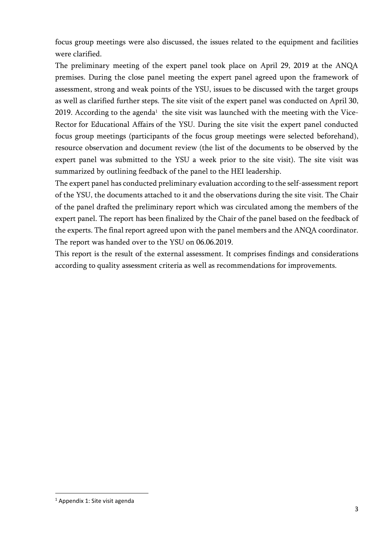focus group meetings were also discussed, the issues related to the equipment and facilities were clarified.

The preliminary meeting of the expert panel took place on April 29, 2019 at the ANQA premises. During the close panel meeting the expert panel agreed upon the framework of assessment, strong and weak points of the YSU, issues to be discussed with the target groups as well as clarified further steps. The site visit of the expert panel was conducted on April 30, 2019. According to the agenda $^{\rm 1}$  the site visit was launched with the meeting with the Vice-Rector for Educational Affairs of the YSU. During the site visit the expert panel conducted focus group meetings (participants of the focus group meetings were selected beforehand), resource observation and document review (the list of the documents to be observed by the expert panel was submitted to the YSU a week prior to the site visit). The site visit was summarized by outlining feedback of the panel to the HEI leadership.

The expert panel has conducted preliminary evaluation according to the self-assessment report of the YSU, the documents attached to it and the observations during the site visit. The Chair of the panel drafted the preliminary report which was circulated among the members of the expert panel. The report has been finalized by the Chair of the panel based on the feedback of the experts. The final report agreed upon with the panel members and the ANQA coordinator. The report was handed over to the YSU on 06.06.2019.

This report is the result of the external assessment. It comprises findings and considerations according to quality assessment criteria as well as recommendations for improvements.

**.** 

<sup>1</sup> Appendix 1: Site visit agenda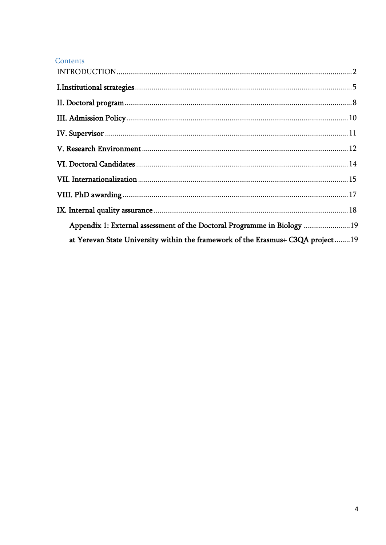## Contents

| Appendix 1: External assessment of the Doctoral Programme in Biology 19           |  |
|-----------------------------------------------------------------------------------|--|
| at Yerevan State University within the framework of the Erasmus+ C3QA project  19 |  |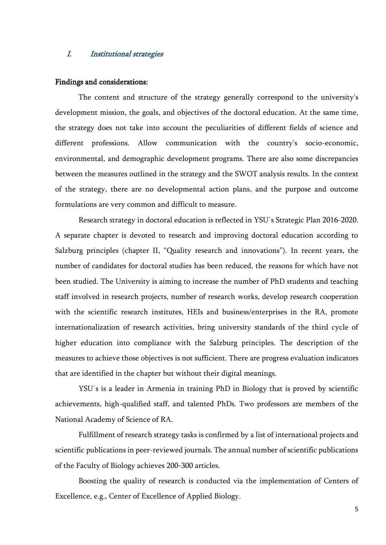## <span id="page-4-0"></span>I. Institutional strategies

#### Findings and considerations:

The content and structure of the strategy generally correspond to the university's development mission, the goals, and objectives of the doctoral education. At the same time, the strategy does not take into account the peculiarities of different fields of science and different professions. Allow communication with the country's socio-economic, environmental, and demographic development programs. There are also some discrepancies between the measures outlined in the strategy and the SWOT analysis results. In the context of the strategy, there are no developmental action plans, and the purpose and outcome formulations are very common and difficult to measure.

Research strategy in doctoral education is reflected in YSU΄s Strategic Plan 2016-2020. A separate chapter is devoted to research and improving doctoral education according to Salzburg principles (chapter II, "Quality research and innovations"). In recent years, the number of candidates for doctoral studies has been reduced, the reasons for which have not been studied. The University is aiming to increase the number of PhD students and teaching staff involved in research projects, number of research works, develop research cooperation with the scientific research institutes, HEIs and business/enterprises in the RA, promote internationalization of research activities, bring university standards of the third cycle of higher education into compliance with the Salzburg principles. The description of the measures to achieve those objectives is not sufficient. There are progress evaluation indicators that are identified in the chapter but without their digital meanings.

YSU΄s is a leader in Armenia in training PhD in Biology that is proved by scientific achievements, high-qualified staff, and talented PhDs. Two professors are members of the National Academy of Science of RA.

Fulfillment of research strategy tasks is confirmed by a list of international projects and scientific publications in peer-reviewed journals. The annual number of scientific publications of the Faculty of Biology achieves 200-300 articles.

Boosting the quality of research is conducted via the implementation of Centers of Excellence, e.g., Center of Excellence of Applied Biology.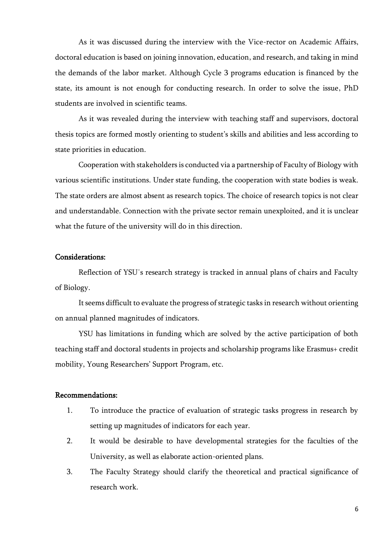As it was discussed during the interview with the Vice-rector on Academic Affairs, doctoral education is based on joining innovation, education, and research, and taking in mind the demands of the labor market. Although Cycle 3 programs education is financed by the state, its amount is not enough for conducting research. In order to solve the issue, PhD students are involved in scientific teams.

As it was revealed during the interview with teaching staff and supervisors, doctoral thesis topics are formed mostly orienting to student's skills and abilities and less according to state priorities in education.

Cooperation with stakeholders is conducted via a partnership of Faculty of Biology with various scientific institutions. Under state funding, the cooperation with state bodies is weak. The state orders are almost absent as research topics. The choice of research topics is not clear and understandable. Connection with the private sector remain unexploited, and it is unclear what the future of the university will do in this direction.

## Considerations:

Reflection of YSU΄s research strategy is tracked in annual plans of chairs and Faculty of Biology.

It seems difficult to evaluate the progress of strategic tasks in research without orienting on annual planned magnitudes of indicators.

YSU has limitations in funding which are solved by the active participation of both teaching staff and doctoral students in projects and scholarship programs like Erasmus+ credit mobility, Young Researchers' Support Program, etc.

- 1. To introduce the practice of evaluation of strategic tasks progress in research by setting up magnitudes of indicators for each year.
- 2. It would be desirable to have developmental strategies for the faculties of the University, as well as elaborate action-oriented plans.
- 3. The Faculty Strategy should clarify the theoretical and practical significance of research work.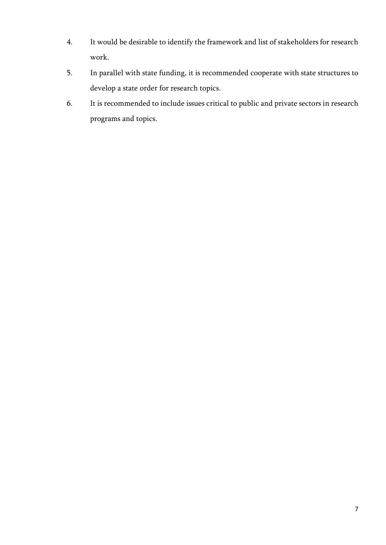- 4. It would be desirable to identify the framework and list of stakeholders for research work.
- 5. In parallel with state funding, it is recommended cooperate with state structures to develop a state order for research topics.
- 6. It is recommended to include issues critical to public and private sectors in research programs and topics.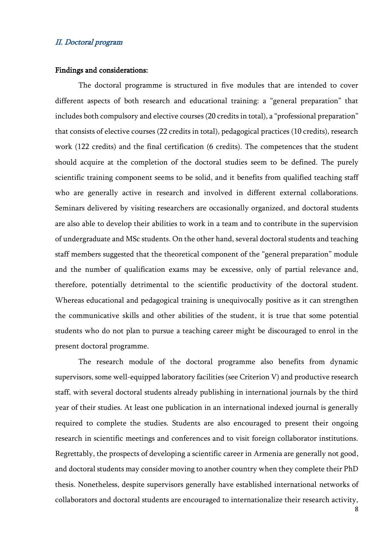#### <span id="page-7-0"></span>II. Doctoral program

#### Findings and considerations:

The doctoral programme is structured in five modules that are intended to cover different aspects of both research and educational training: a "general preparation" that includes both compulsory and elective courses (20 credits in total), a "professional preparation" that consists of elective courses (22 credits in total), pedagogical practices (10 credits), research work (122 credits) and the final certification (6 credits). The competences that the student should acquire at the completion of the doctoral studies seem to be defined. The purely scientific training component seems to be solid, and it benefits from qualified teaching staff who are generally active in research and involved in different external collaborations. Seminars delivered by visiting researchers are occasionally organized, and doctoral students are also able to develop their abilities to work in a team and to contribute in the supervision of undergraduate and MSc students. On the other hand, several doctoral students and teaching staff members suggested that the theoretical component of the "general preparation" module and the number of qualification exams may be excessive, only of partial relevance and, therefore, potentially detrimental to the scientific productivity of the doctoral student. Whereas educational and pedagogical training is unequivocally positive as it can strengthen the communicative skills and other abilities of the student, it is true that some potential students who do not plan to pursue a teaching career might be discouraged to enrol in the present doctoral programme.

The research module of the doctoral programme also benefits from dynamic supervisors, some well-equipped laboratory facilities (see Criterion V) and productive research staff, with several doctoral students already publishing in international journals by the third year of their studies. At least one publication in an international indexed journal is generally required to complete the studies. Students are also encouraged to present their ongoing research in scientific meetings and conferences and to visit foreign collaborator institutions. Regrettably, the prospects of developing a scientific career in Armenia are generally not good, and doctoral students may consider moving to another country when they complete their PhD thesis. Nonetheless, despite supervisors generally have established international networks of collaborators and doctoral students are encouraged to internationalize their research activity,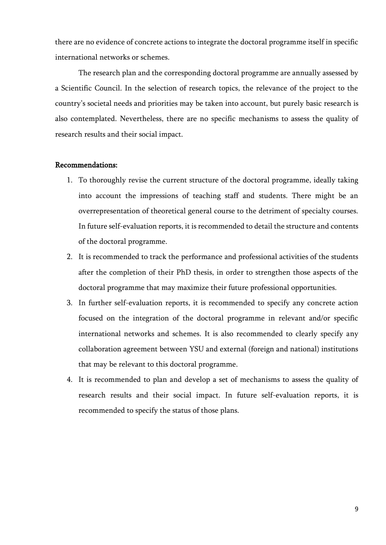there are no evidence of concrete actions to integrate the doctoral programme itself in specific international networks or schemes.

The research plan and the corresponding doctoral programme are annually assessed by a Scientific Council. In the selection of research topics, the relevance of the project to the country's societal needs and priorities may be taken into account, but purely basic research is also contemplated. Nevertheless, there are no specific mechanisms to assess the quality of research results and their social impact.

- 1. To thoroughly revise the current structure of the doctoral programme, ideally taking into account the impressions of teaching staff and students. There might be an overrepresentation of theoretical general course to the detriment of specialty courses. In future self-evaluation reports, it is recommended to detail the structure and contents of the doctoral programme.
- 2. It is recommended to track the performance and professional activities of the students after the completion of their PhD thesis, in order to strengthen those aspects of the doctoral programme that may maximize their future professional opportunities.
- 3. In further self-evaluation reports, it is recommended to specify any concrete action focused on the integration of the doctoral programme in relevant and/or specific international networks and schemes. It is also recommended to clearly specify any collaboration agreement between YSU and external (foreign and national) institutions that may be relevant to this doctoral programme.
- 4. It is recommended to plan and develop a set of mechanisms to assess the quality of research results and their social impact. In future self-evaluation reports, it is recommended to specify the status of those plans.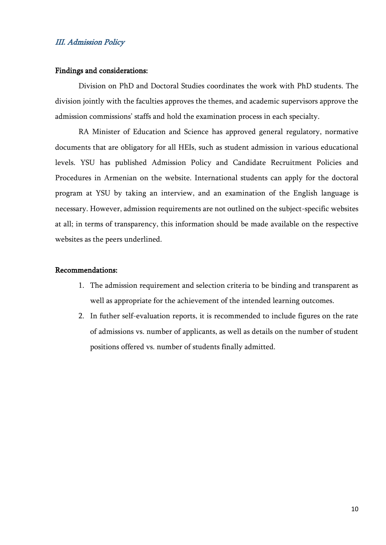## <span id="page-9-0"></span>III. Admission Policy

#### Findings and considerations:

Division on PhD and Doctoral Studies coordinates the work with PhD students. The division jointly with the faculties approves the themes, and academic supervisors approve the admission commissions' staffs and hold the examination process in each specialty.

RA Minister of Education and Science has approved general regulatory, normative documents that are obligatory for all HEIs, such as student admission in various educational levels. YSU has published Admission Policy and Candidate Recruitment Policies and Procedures in Armenian on the website. International students can apply for the doctoral program at YSU by taking an interview, and an examination of the English language is necessary. However, admission requirements are not outlined on the subject-specific websites at all; in terms of transparency, this information should be made available on the respective websites as the peers underlined.

- 1. The admission requirement and selection criteria to be binding and transparent as well as appropriate for the achievement of the intended learning outcomes.
- 2. In futher self-evaluation reports, it is recommended to include figures on the rate of admissions vs. number of applicants, as well as details on the number of student positions offered vs. number of students finally admitted.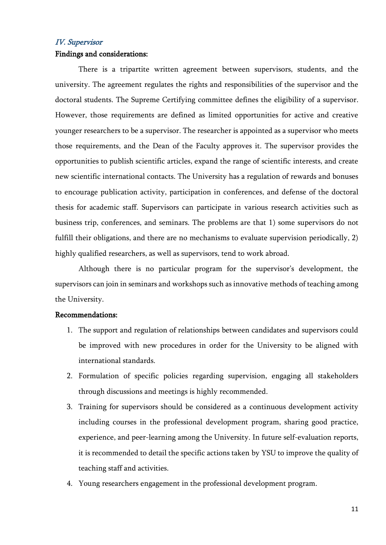## <span id="page-10-0"></span>IV. Supervisor

#### Findings and considerations:

There is a tripartite written agreement between supervisors, students, and the university. The agreement regulates the rights and responsibilities of the supervisor and the doctoral students. The Supreme Certifying committee defines the eligibility of a supervisor. However, those requirements are defined as limited opportunities for active and creative younger researchers to be a supervisor. The researcher is appointed as a supervisor who meets those requirements, and the Dean of the Faculty approves it. The supervisor provides the opportunities to publish scientific articles, expand the range of scientific interests, and create new scientific international contacts. The University has a regulation of rewards and bonuses to encourage publication activity, participation in conferences, and defense of the doctoral thesis for academic staff. Supervisors can participate in various research activities such as business trip, conferences, and seminars. The problems are that 1) some supervisors do not fulfill their obligations, and there are no mechanisms to evaluate supervision periodically, 2) highly qualified researchers, as well as supervisors, tend to work abroad.

Although there is no particular program for the supervisor's development, the supervisors can join in seminars and workshops such as innovative methods of teaching among the University.

- 1. The support and regulation of relationships between candidates and supervisors could be improved with new procedures in order for the University to be aligned with international standards.
- 2. Formulation of specific policies regarding supervision, engaging all stakeholders through discussions and meetings is highly recommended.
- 3. Training for supervisors should be considered as a continuous development activity including courses in the professional development program, sharing good practice, experience, and peer-learning among the University. In future self-evaluation reports, it is recommended to detail the specific actions taken by YSU to improve the quality of teaching staff and activities.
- 4. Young researchers engagement in the professional development program.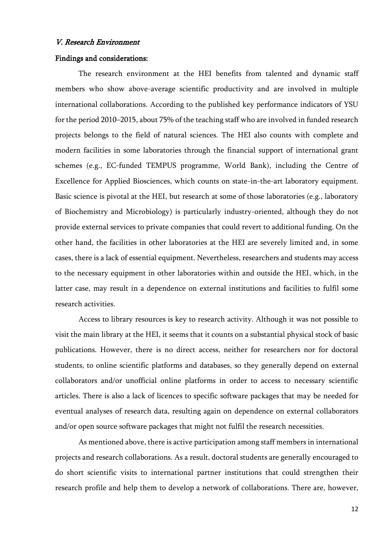#### <span id="page-11-0"></span>V. Research Environment

#### Findings and considerations:

The research environment at the HEI benefits from talented and dynamic staff members who show above-average scientific productivity and are involved in multiple international collaborations. According to the published key performance indicators of YSU for the period 2010–2015, about 75% of the teaching staff who are involved in funded research projects belongs to the field of natural sciences. The HEI also counts with complete and modern facilities in some laboratories through the financial support of international grant schemes (e.g., EC-funded TEMPUS programme, World Bank), including the Centre of Excellence for Applied Biosciences, which counts on state-in-the-art laboratory equipment. Basic science is pivotal at the HEI, but research at some of those laboratories (e.g., laboratory of Biochemistry and Microbiology) is particularly industry-oriented, although they do not provide external services to private companies that could revert to additional funding. On the other hand, the facilities in other laboratories at the HEI are severely limited and, in some cases, there is a lack of essential equipment. Nevertheless, researchers and students may access to the necessary equipment in other laboratories within and outside the HEI, which, in the latter case, may result in a dependence on external institutions and facilities to fulfil some research activities.

Access to library resources is key to research activity. Although it was not possible to visit the main library at the HEI, it seems that it counts on a substantial physical stock of basic publications. However, there is no direct access, neither for researchers nor for doctoral students, to online scientific platforms and databases, so they generally depend on external collaborators and/or unofficial online platforms in order to access to necessary scientific articles. There is also a lack of licences to specific software packages that may be needed for eventual analyses of research data, resulting again on dependence on external collaborators and/or open source software packages that might not fulfil the research necessities.

As mentioned above, there is active participation among staff members in international projects and research collaborations. As a result, doctoral students are generally encouraged to do short scientific visits to international partner institutions that could strengthen their research profile and help them to develop a network of collaborations. There are, however,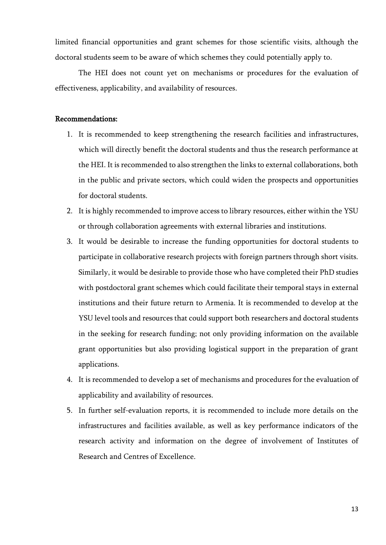limited financial opportunities and grant schemes for those scientific visits, although the doctoral students seem to be aware of which schemes they could potentially apply to.

The HEI does not count yet on mechanisms or procedures for the evaluation of effectiveness, applicability, and availability of resources.

- 1. It is recommended to keep strengthening the research facilities and infrastructures, which will directly benefit the doctoral students and thus the research performance at the HEI. It is recommended to also strengthen the links to external collaborations, both in the public and private sectors, which could widen the prospects and opportunities for doctoral students.
- 2. It is highly recommended to improve access to library resources, either within the YSU or through collaboration agreements with external libraries and institutions.
- 3. It would be desirable to increase the funding opportunities for doctoral students to participate in collaborative research projects with foreign partners through short visits. Similarly, it would be desirable to provide those who have completed their PhD studies with postdoctoral grant schemes which could facilitate their temporal stays in external institutions and their future return to Armenia. It is recommended to develop at the YSU level tools and resources that could support both researchers and doctoral students in the seeking for research funding; not only providing information on the available grant opportunities but also providing logistical support in the preparation of grant applications.
- 4. It is recommended to develop a set of mechanisms and procedures for the evaluation of applicability and availability of resources.
- 5. In further self-evaluation reports, it is recommended to include more details on the infrastructures and facilities available, as well as key performance indicators of the research activity and information on the degree of involvement of Institutes of Research and Centres of Excellence.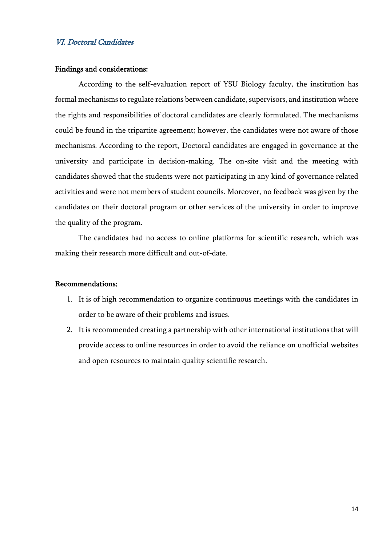## <span id="page-13-0"></span>VI. Doctoral Candidates

#### Findings and considerations:

According to the self-evaluation report of YSU Biology faculty, the institution has formal mechanisms to regulate relations between candidate, supervisors, and institution where the rights and responsibilities of doctoral candidates are clearly formulated. The mechanisms could be found in the tripartite agreement; however, the candidates were not aware of those mechanisms. According to the report, Doctoral candidates are engaged in governance at the university and participate in decision-making. The on-site visit and the meeting with candidates showed that the students were not participating in any kind of governance related activities and were not members of student councils. Moreover, no feedback was given by the candidates on their doctoral program or other services of the university in order to improve the quality of the program.

The candidates had no access to online platforms for scientific research, which was making their research more difficult and out-of-date.

- 1. It is of high recommendation to organize continuous meetings with the candidates in order to be aware of their problems and issues.
- 2. It is recommended creating a partnership with other international institutions that will provide access to online resources in order to avoid the reliance on unofficial websites and open resources to maintain quality scientific research.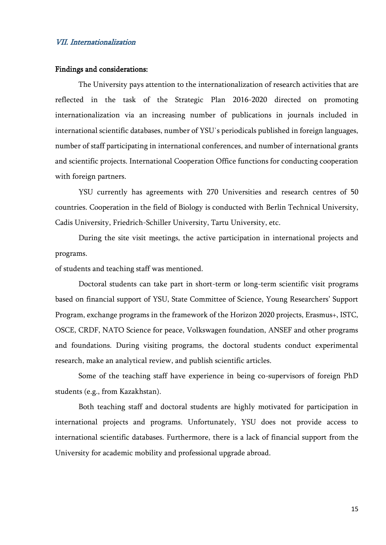#### <span id="page-14-0"></span>VII. Internationalization

#### Findings and considerations:

The University pays attention to the internationalization of research activities that are reflected in the task of the Strategic Plan 2016-2020 directed on promoting internationalization via an increasing number of publications in journals included in international scientific databases, number of YSU΄s periodicals published in foreign languages, number of staff participating in international conferences, and number of international grants and scientific projects. International Cooperation Office functions for conducting cooperation with foreign partners.

YSU currently has agreements with 270 Universities and research centres of 50 countries. Cooperation in the field of Biology is conducted with Berlin Technical University, Cadis University, Friedrich-Schiller University, Tartu University, etc.

During the site visit meetings, the active participation in international projects and programs.

of students and teaching staff was mentioned.

Doctoral students can take part in short-term or long-term scientific visit programs based on financial support of YSU, State Committee of Science, Young Researchers' Support Program, exchange programs in the framework of the Horizon 2020 projects, Erasmus+, ISTC, OSCE, CRDF, NATO Science for peace, Volkswagen foundation, ANSEF and other programs and foundations. During visiting programs, the doctoral students conduct experimental research, make an analytical review, and publish scientific articles.

Some of the teaching staff have experience in being co-supervisors of foreign PhD students (e.g., from Kazakhstan).

Both teaching staff and doctoral students are highly motivated for participation in international projects and programs. Unfortunately, YSU does not provide access to international scientific databases. Furthermore, there is a lack of financial support from the University for academic mobility and professional upgrade abroad.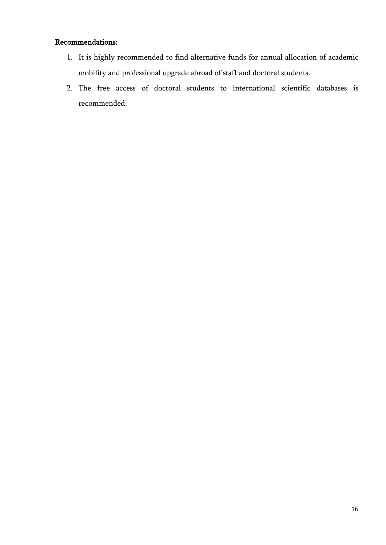- 1. It is highly recommended to find alternative funds for annual allocation of academic mobility and professional upgrade abroad of staff and doctoral students.
- 2. The free access of doctoral students to international scientific databases is recommended.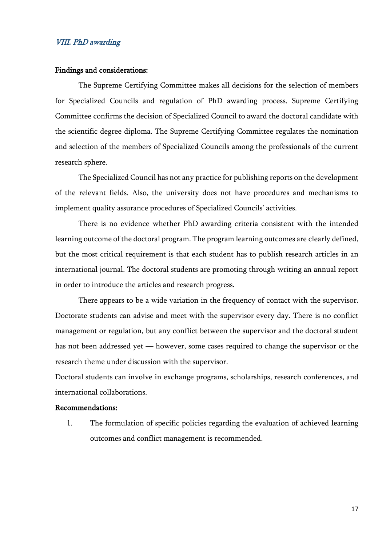#### <span id="page-16-0"></span>VIII. PhD awarding

#### Findings and considerations:

The Supreme Certifying Committee makes all decisions for the selection of members for Specialized Councils and regulation of PhD awarding process. Supreme Certifying Committee confirms the decision of Specialized Council to award the doctoral candidate with the scientific degree diploma. The Supreme Certifying Committee regulates the nomination and selection of the members of Specialized Councils among the professionals of the current research sphere.

The Specialized Council has not any practice for publishing reports on the development of the relevant fields. Also, the university does not have procedures and mechanisms to implement quality assurance procedures of Specialized Councils' activities.

There is no evidence whether PhD awarding criteria consistent with the intended learning outcome of the doctoral program. The program learning outcomes are clearly defined, but the most critical requirement is that each student has to publish research articles in an international journal. The doctoral students are promoting through writing an annual report in order to introduce the articles and research progress.

There appears to be a wide variation in the frequency of contact with the supervisor. Doctorate students can advise and meet with the supervisor every day. There is no conflict management or regulation, but any conflict between the supervisor and the doctoral student has not been addressed yet — however, some cases required to change the supervisor or the research theme under discussion with the supervisor.

Doctoral students can involve in exchange programs, scholarships, research conferences, and international collaborations.

## Recommendations:

1. The formulation of specific policies regarding the evaluation of achieved learning outcomes and conflict management is recommended.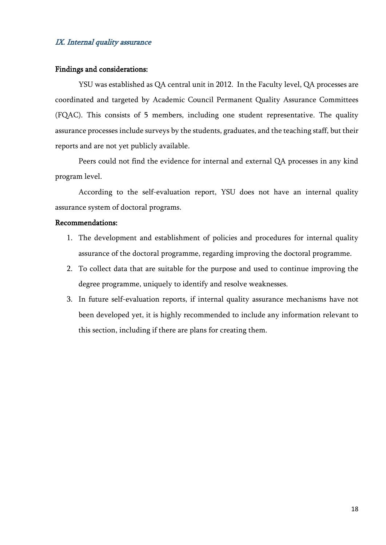## <span id="page-17-0"></span>IX. Internal quality assurance

#### Findings and considerations:

YSU was established as QA central unit in 2012. In the Faculty level, QA processes are coordinated and targeted by Academic Council Permanent Quality Assurance Committees (FQAC). This consists of 5 members, including one student representative. The quality assurance processes include surveys by the students, graduates, and the teaching staff, but their reports and are not yet publicly available.

Peers could not find the evidence for internal and external QA processes in any kind program level.

According to the self-evaluation report, YSU does not have an internal quality assurance system of doctoral programs.

- 1. The development and establishment of policies and procedures for internal quality assurance of the doctoral programme, regarding improving the doctoral programme.
- 2. To collect data that are suitable for the purpose and used to continue improving the degree programme, uniquely to identify and resolve weaknesses.
- 3. In future self-evaluation reports, if internal quality assurance mechanisms have not been developed yet, it is highly recommended to include any information relevant to this section, including if there are plans for creating them.